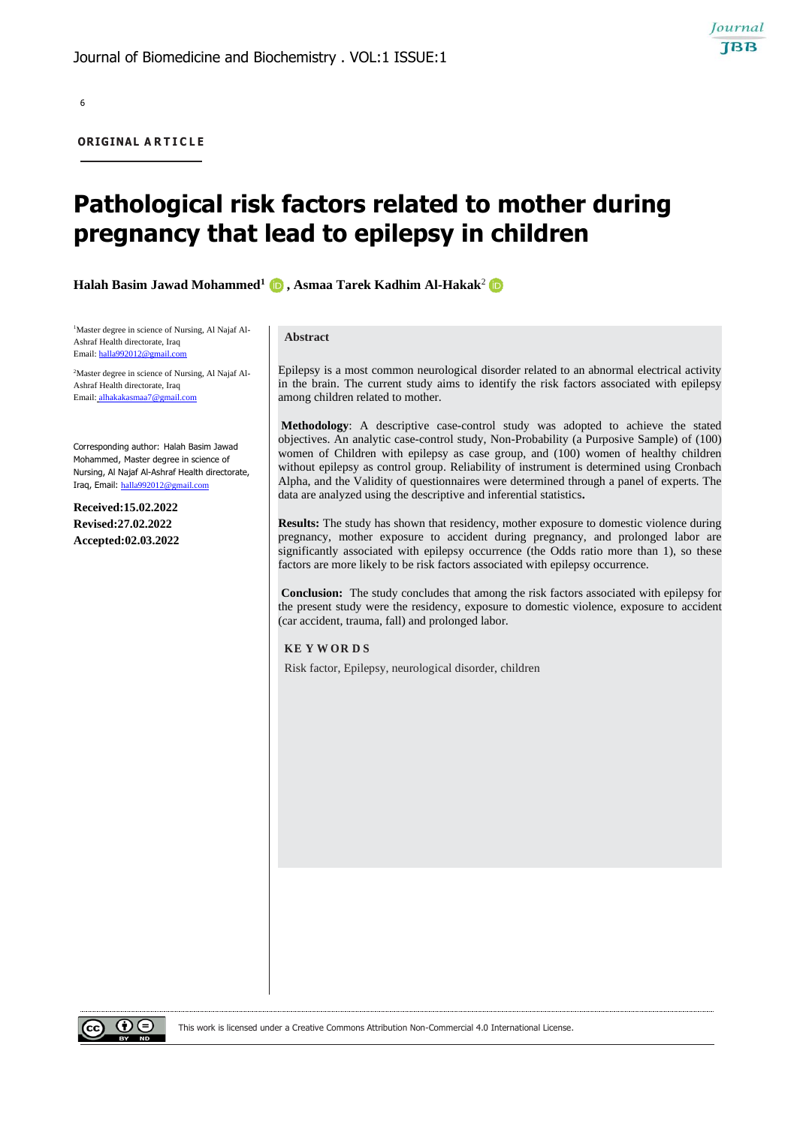**ORIGINAL A R T I C L E**

# **Pathological risk factors related to mother during pregnancy that lead to epilepsy in children**

**Halah Basim Jawad Mohammed1 , Asmaa Tarek Kadhim Al-Hakak**<sup>2</sup>

1Master degree in science of Nursing, Al Najaf Al-Ashraf Health directorate, Iraq Email[: halla992012@gmail.com](mailto:halla992012@gmail.com)

2Master degree in science of Nursing, Al Najaf Al-Ashraf Health directorate, Iraq Email: alhakakasmaa7@

Corresponding author: Halah Basim Jawad Mohammed, Master degree in science of Nursing, Al Najaf Al-Ashraf Health directorate, Iraq, Email: [halla992012@gmail.com](mailto:halla992012@gmail.com)

**Received:15.02.2022 Revised:27.02.2022 Accepted:02.03.2022**

#### **Abstract**

Epilepsy is a most common neurological disorder related to an abnormal electrical activity in the brain. The current study aims to identify the risk factors associated with epilepsy among children related to mother.

Journal **TBB** 

**Methodology**: A descriptive case-control study was adopted to achieve the stated objectives. An analytic case-control study, Non-Probability (a Purposive Sample) of (100) women of Children with epilepsy as case group, and (100) women of healthy children without epilepsy as control group. Reliability of instrument is determined using Cronbach Alpha, and the Validity of questionnaires were determined through a panel of experts. The data are analyzed using the descriptive and inferential statistics**.** 

**Results:** The study has shown that residency, mother exposure to domestic violence during pregnancy, mother exposure to accident during pregnancy, and prolonged labor are significantly associated with epilepsy occurrence (the Odds ratio more than 1), so these factors are more likely to be risk factors associated with epilepsy occurrence.

**Conclusion:** The study concludes that among the risk factors associated with epilepsy for the present study were the residency, exposure to domestic violence, exposure to accident (car accident, trauma, fall) and prolonged labor.

### **KE Y W OR D S**

Risk factor, Epilepsy, neurological disorder, children

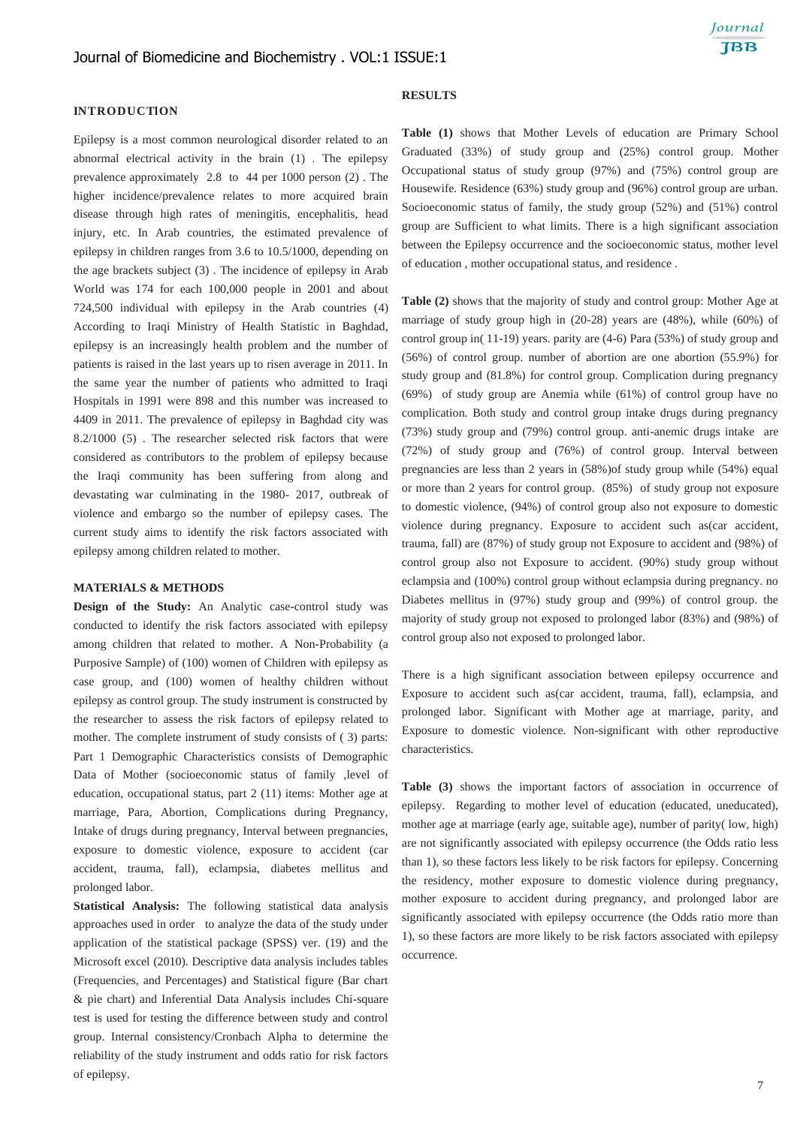### **INTRODUCTION**

Epilepsy is a most common neurological disorder related to an abnormal electrical activity in the brain (1) . The epilepsy prevalence approximately 2.8 to 44 per 1000 person (2) . The higher incidence/prevalence relates to more acquired brain disease through high rates of meningitis, encephalitis, head injury, etc. In Arab countries, the estimated prevalence of epilepsy in children ranges from 3.6 to 10.5/1000, depending on the age brackets subject (3) . The incidence of epilepsy in Arab World was 174 for each 100,000 people in 2001 and about 724,500 individual with epilepsy in the Arab countries (4) According to Iraqi Ministry of Health Statistic in Baghdad, epilepsy is an increasingly health problem and the number of patients is raised in the last years up to risen average in 2011. In the same year the number of patients who admitted to Iraqi Hospitals in 1991 were 898 and this number was increased to 4409 in 2011. The prevalence of epilepsy in Baghdad city was 8.2/1000 (5) . The researcher selected risk factors that were considered as contributors to the problem of epilepsy because the Iraqi community has been suffering from along and devastating war culminating in the 1980- 2017, outbreak of violence and embargo so the number of epilepsy cases. The current study aims to identify the risk factors associated with epilepsy among children related to mother.

### **MATERIALS & METHODS**

**Design of the Study:** An Analytic case-control study was conducted to identify the risk factors associated with epilepsy among children that related to mother. A Non-Probability (a Purposive Sample) of (100) women of Children with epilepsy as case group, and (100) women of healthy children without epilepsy as control group. The study instrument is constructed by the researcher to assess the risk factors of epilepsy related to mother. The complete instrument of study consists of ( 3) parts: Part 1 Demographic Characteristics consists of Demographic Data of Mother (socioeconomic status of family ,level of education, occupational status, part 2 (11) items: Mother age at marriage, Para, Abortion, Complications during Pregnancy, Intake of drugs during pregnancy, Interval between pregnancies, exposure to domestic violence, exposure to accident (car accident, trauma, fall), eclampsia, diabetes mellitus and prolonged labor.

**Statistical Analysis:** The following statistical data analysis approaches used in order to analyze the data of the study under application of the statistical package (SPSS) ver. (19) and the Microsoft excel (2010). Descriptive data analysis includes tables (Frequencies, and Percentages) and Statistical figure (Bar chart & pie chart) and Inferential Data Analysis includes Chi-square test is used for testing the difference between study and control group. Internal consistency/Cronbach Alpha to determine the reliability of the study instrument and odds ratio for risk factors of epilepsy.

# **RESULTS**

**Table (1)** shows that Mother Levels of education are Primary School Graduated (33%) of study group and (25%) control group. Mother Occupational status of study group (97%) and (75%) control group are Housewife. Residence (63%) study group and (96%) control group are urban. Socioeconomic status of family, the study group (52%) and (51%) control group are Sufficient to what limits. There is a high significant association between the Epilepsy occurrence and the socioeconomic status, mother level of education , mother occupational status, and residence .

**Table (2)** shows that the majority of study and control group: Mother Age at marriage of study group high in (20-28) years are (48%), while (60%) of control group in( 11-19) years. parity are (4-6) Para (53%) of study group and (56%) of control group. number of abortion are one abortion (55.9%) for study group and (81.8%) for control group. Complication during pregnancy (69%) of study group are Anemia while (61%) of control group have no complication. Both study and control group intake drugs during pregnancy (73%) study group and (79%) control group. anti-anemic drugs intake are (72%) of study group and (76%) of control group. Interval between pregnancies are less than 2 years in (58%)of study group while (54%) equal or more than 2 years for control group. (85%) of study group not exposure to domestic violence, (94%) of control group also not exposure to domestic violence during pregnancy. Exposure to accident such as(car accident, trauma, fall) are (87%) of study group not Exposure to accident and (98%) of control group also not Exposure to accident. (90%) study group without eclampsia and (100%) control group without eclampsia during pregnancy. no Diabetes mellitus in (97%) study group and (99%) of control group. the majority of study group not exposed to prolonged labor (83%) and (98%) of control group also not exposed to prolonged labor.

There is a high significant association between epilepsy occurrence and Exposure to accident such as(car accident, trauma, fall), eclampsia, and prolonged labor. Significant with Mother age at marriage, parity, and Exposure to domestic violence. Non-significant with other reproductive characteristics.

**Table (3)** shows the important factors of association in occurrence of epilepsy.Regarding to mother level of education (educated, uneducated), mother age at marriage (early age, suitable age), number of parity( low, high) are not significantly associated with epilepsy occurrence (the Odds ratio less than 1), so these factors less likely to be risk factors for epilepsy. Concerning the residency, mother exposure to domestic violence during pregnancy, mother exposure to accident during pregnancy, and prolonged labor are significantly associated with epilepsy occurrence (the Odds ratio more than 1), so these factors are more likely to be risk factors associated with epilepsy occurrence.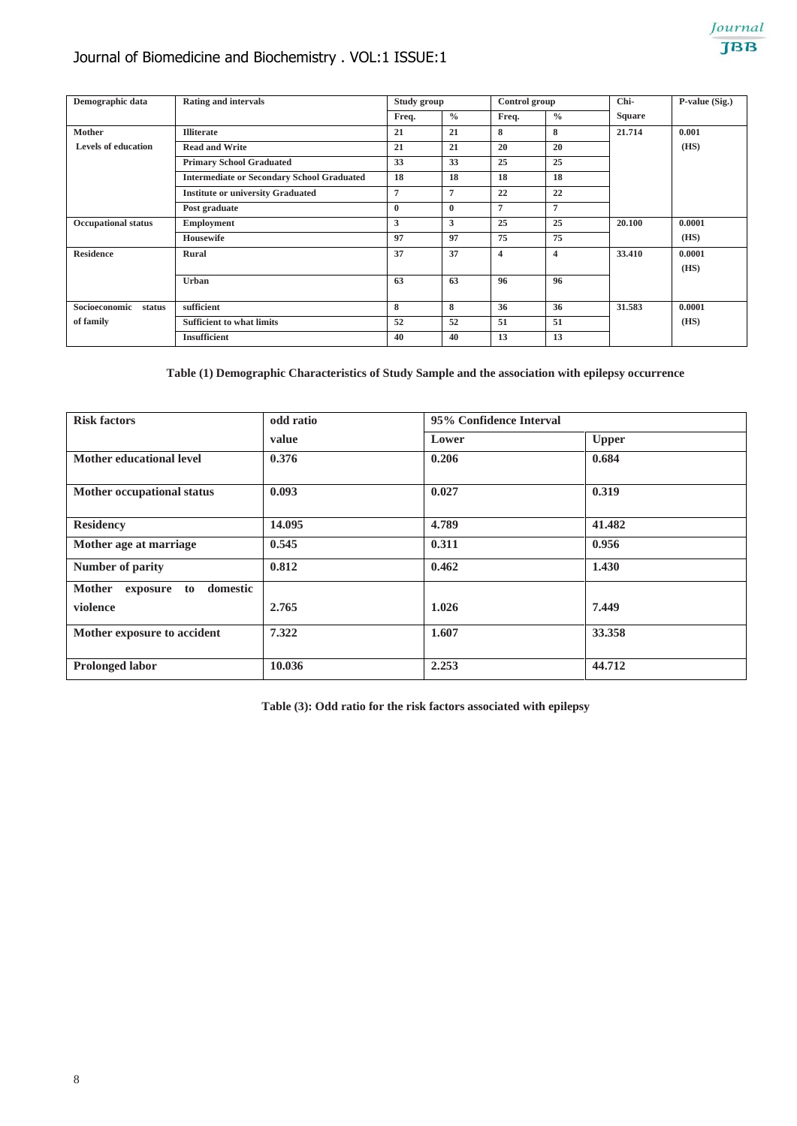# Journal of Biomedicine and Biochemistry . VOL:1 ISSUE:1



| Demographic data           | <b>Rating and intervals</b>                       | Study group  |               | Control group  |                | Chi-          | P-value (Sig.) |
|----------------------------|---------------------------------------------------|--------------|---------------|----------------|----------------|---------------|----------------|
|                            |                                                   | Freq.        | $\frac{0}{0}$ | Freq.          | $\frac{0}{0}$  | <b>Square</b> |                |
| <b>Mother</b>              | <b>Illiterate</b>                                 | 21           | 21            | 8              | 8              | 21.714        | 0.001          |
| <b>Levels of education</b> | <b>Read and Write</b>                             | 21           | 21            | 20             | 20             |               | (HS)           |
|                            | <b>Primary School Graduated</b>                   | 33           | 33            | 25             | 25             |               |                |
|                            | <b>Intermediate or Secondary School Graduated</b> | 18           | 18            | 18             | 18             |               |                |
|                            | <b>Institute or university Graduated</b>          | 7            | 7             | 22             | 22             |               |                |
|                            | Post graduate                                     | $\mathbf{0}$ | $\mathbf{0}$  | 7              | 7              |               |                |
| <b>Occupational status</b> | <b>Employment</b>                                 | 3            | 3             | 25             | 25             | 20.100        | 0.0001         |
|                            | <b>Housewife</b>                                  | 97           | 97            | 75             | 75             |               | (HS)           |
| <b>Residence</b>           | Rural                                             | 37           | 37            | $\overline{4}$ | $\overline{4}$ | 33.410        | 0.0001         |
|                            |                                                   |              |               |                |                |               | (HS)           |
|                            | Urban                                             | 63           | 63            | 96             | 96             |               |                |
|                            |                                                   |              |               |                |                |               |                |
| Socioeconomic<br>status    | sufficient                                        | 8            | 8             | 36             | 36             | 31.583        | 0.0001         |
| of family                  | <b>Sufficient to what limits</b>                  | 52           | 52            | 51             | 51             |               | (HS)           |
|                            | <b>Insufficient</b>                               | 40           | 40            | 13             | 13             |               |                |

**Table (1) Demographic Characteristics of Study Sample and the association with epilepsy occurrence**

| <b>Risk factors</b>                         | odd ratio | 95% Confidence Interval |              |  |  |  |
|---------------------------------------------|-----------|-------------------------|--------------|--|--|--|
|                                             | value     | Lower                   | <b>Upper</b> |  |  |  |
| Mother educational level                    | 0.376     | 0.206                   | 0.684        |  |  |  |
| Mother occupational status                  | 0.093     | 0.027                   | 0.319        |  |  |  |
| <b>Residency</b>                            | 14.095    | 4.789                   | 41.482       |  |  |  |
| Mother age at marriage                      | 0.545     | 0.311                   | 0.956        |  |  |  |
| Number of parity                            | 0.812     | 0.462                   | 1.430        |  |  |  |
| domestic<br><b>Mother</b><br>exposure<br>to |           |                         |              |  |  |  |
| violence                                    | 2.765     | 1.026                   | 7.449        |  |  |  |
| Mother exposure to accident                 | 7.322     | 1.607                   | 33.358       |  |  |  |
| <b>Prolonged labor</b>                      | 10.036    | 2.253                   | 44.712       |  |  |  |

**Table (3): Odd ratio for the risk factors associated with epilepsy**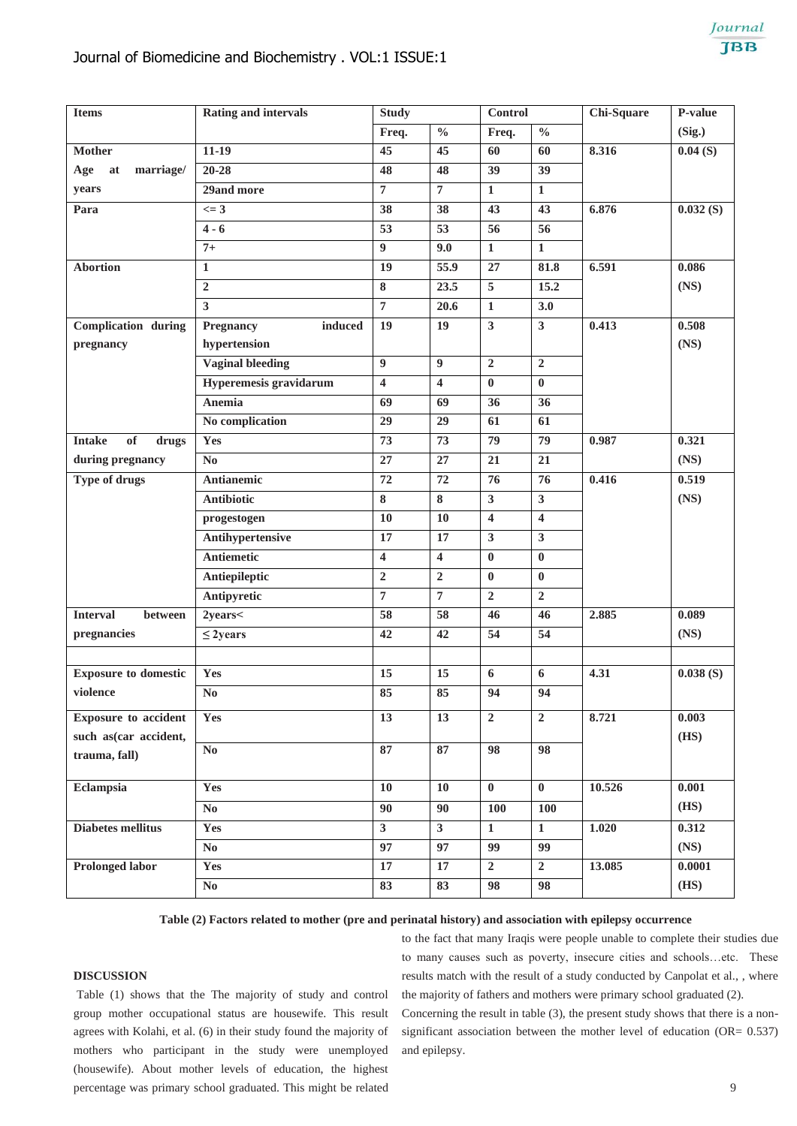| <b>Items</b>                 | <b>Rating and intervals</b> | <b>Study</b>            |                         | <b>Control</b>          |                         | Chi-Square | P-value  |
|------------------------------|-----------------------------|-------------------------|-------------------------|-------------------------|-------------------------|------------|----------|
|                              |                             | Freq.                   | $\frac{0}{0}$           | Freq.                   | $\frac{0}{0}$           |            | (Sig.)   |
| <b>Mother</b>                | $11-19$                     | $\overline{45}$         | 45                      | 60                      | 60                      | 8.316      | 0.04(S)  |
| marriage/<br>Age<br>at       | $20 - 28$                   | 48                      | 48                      | 39                      | 39                      |            |          |
| years                        | 29and more                  | $\overline{7}$          | $\overline{7}$          | $\mathbf{1}$            | $\mathbf{1}$            |            |          |
| Para                         | $\leq$ 3                    | 38                      | 38                      | 43                      | 43                      | 6.876      | 0.032(S) |
|                              | $4 - 6$                     | $\overline{53}$         | 53                      | 56                      | 56                      |            |          |
|                              | $7+$                        | 9                       | 9.0                     | $\mathbf{1}$            | $\mathbf{1}$            |            |          |
| <b>Abortion</b>              | $\mathbf{1}$                | 19                      | 55.9                    | 27                      | 81.8                    | 6.591      | 0.086    |
|                              | $\overline{2}$              | 8                       | 23.5                    | $\overline{5}$          | 15.2                    |            | (NS)     |
|                              | $\mathbf{3}$                | $\overline{7}$          | 20.6                    | $\mathbf{1}$            | 3.0                     |            |          |
| <b>Complication during</b>   | Pregnancy<br>induced        | 19                      | 19                      | $\overline{\mathbf{3}}$ | $\overline{\mathbf{3}}$ | 0.413      | 0.508    |
| pregnancy                    | hypertension                |                         |                         |                         |                         |            | (NS)     |
|                              | <b>Vaginal bleeding</b>     | 9                       | 9                       | $\overline{2}$          | $\overline{2}$          |            |          |
|                              | Hyperemesis gravidarum      | $\overline{\mathbf{4}}$ | $\overline{\mathbf{4}}$ | $\mathbf{0}$            | $\mathbf{0}$            |            |          |
|                              | Anemia                      | 69                      | 69                      | 36                      | 36                      |            |          |
|                              | No complication             | 29                      | 29                      | 61                      | 61                      |            |          |
| of<br><b>Intake</b><br>drugs | Yes                         | 73                      | 73                      | 79                      | 79                      | 0.987      | 0.321    |
| during pregnancy             | $\mathbf{N}\mathbf{o}$      | 27                      | 27                      | 21                      | 21                      |            | (NS)     |
| <b>Type of drugs</b>         | <b>Antianemic</b>           | $\overline{72}$         | 72                      | $\overline{76}$         | $\overline{76}$         | 0.416      | 0.519    |
|                              | <b>Antibiotic</b>           | 8                       | 8                       | $\mathbf{3}$            | $\mathbf{3}$            |            | (NS)     |
|                              | progestogen                 | 10                      | 10                      | $\overline{\mathbf{4}}$ | $\overline{\mathbf{4}}$ |            |          |
|                              | Antihypertensive            | 17                      | 17                      | $\mathbf{3}$            | $\overline{\mathbf{3}}$ |            |          |
|                              | <b>Antiemetic</b>           | $\overline{\mathbf{4}}$ | $\overline{\mathbf{4}}$ | $\bf{0}$                | $\bf{0}$                |            |          |
|                              | Antiepileptic               | $\overline{2}$          | $\overline{2}$          | $\bf{0}$                | $\bf{0}$                |            |          |
|                              | Antipyretic                 | $\overline{7}$          | $\overline{7}$          | $\overline{2}$          | $\boldsymbol{2}$        |            |          |
| <b>Interval</b><br>between   | 2years<                     | 58                      | 58                      | 46                      | 46                      | 2.885      | 0.089    |
| pregnancies                  | $\leq$ 2years               | 42                      | 42                      | 54                      | 54                      |            | (NS)     |
|                              |                             |                         |                         |                         |                         |            |          |
| <b>Exposure to domestic</b>  | Yes                         | 15                      | 15                      | 6                       | 6                       | 4.31       | 0.038(S) |
| violence                     | $\mathbf{N}\mathbf{o}$      | 85                      | 85                      | 94                      | 94                      |            |          |
| <b>Exposure to accident</b>  | Yes                         | 13                      | 13                      | $\overline{2}$          | $\overline{2}$          | 8.721      | 0.003    |
| such as(car accident,        |                             |                         |                         |                         |                         |            | (HS)     |
| trauma, fall)                | $\bf No$                    | 87                      | 87                      | 98                      | 98                      |            |          |
|                              |                             |                         |                         |                         |                         |            |          |
| Eclampsia                    | Yes                         | 10                      | <b>10</b>               | $\bf{0}$                | $\bf{0}$                | 10.526     | 0.001    |
|                              | $\mathbf{N}\mathbf{o}$      | $\overline{90}$         | 90                      | <b>100</b>              | <b>100</b>              |            | (HS)     |
| <b>Diabetes mellitus</b>     | Yes                         | $\overline{\mathbf{3}}$ | 3 <sup>1</sup>          | $\mathbf{1}$            | $\mathbf{1}$            | 1.020      | 0.312    |
|                              | $\mathbf{N}\mathbf{0}$      | $\overline{97}$         | 97                      | 99                      | 99                      |            | (NS)     |
| <b>Prolonged labor</b>       | Yes                         | $17\,$                  | 17                      | $\overline{2}$          | $\overline{2}$          | 13.085     | 0.0001   |
|                              | $\mathbf{N}\mathbf{o}$      | 83                      | 83                      | 98                      | 98                      |            | (HS)     |

## **Table (2) Factors related to mother (pre and perinatal history) and association with epilepsy occurrence**

and epilepsy.

# **DISCUSSION**

Table (1) shows that the The majority of study and control group mother occupational status are housewife. This result agrees with Kolahi, et al. (6) in their study found the majority of mothers who participant in the study were unemployed (housewife). About mother levels of education, the highest percentage was primary school graduated. This might be related

to the fact that many Iraqis were people unable to complete their studies due to many causes such as poverty, insecure cities and schools…etc. These results match with the result of a study conducted by Canpolat et al., , where the majority of fathers and mothers were primary school graduated (2). Concerning the result in table (3), the present study shows that there is a nonsignificant association between the mother level of education (OR= 0.537)

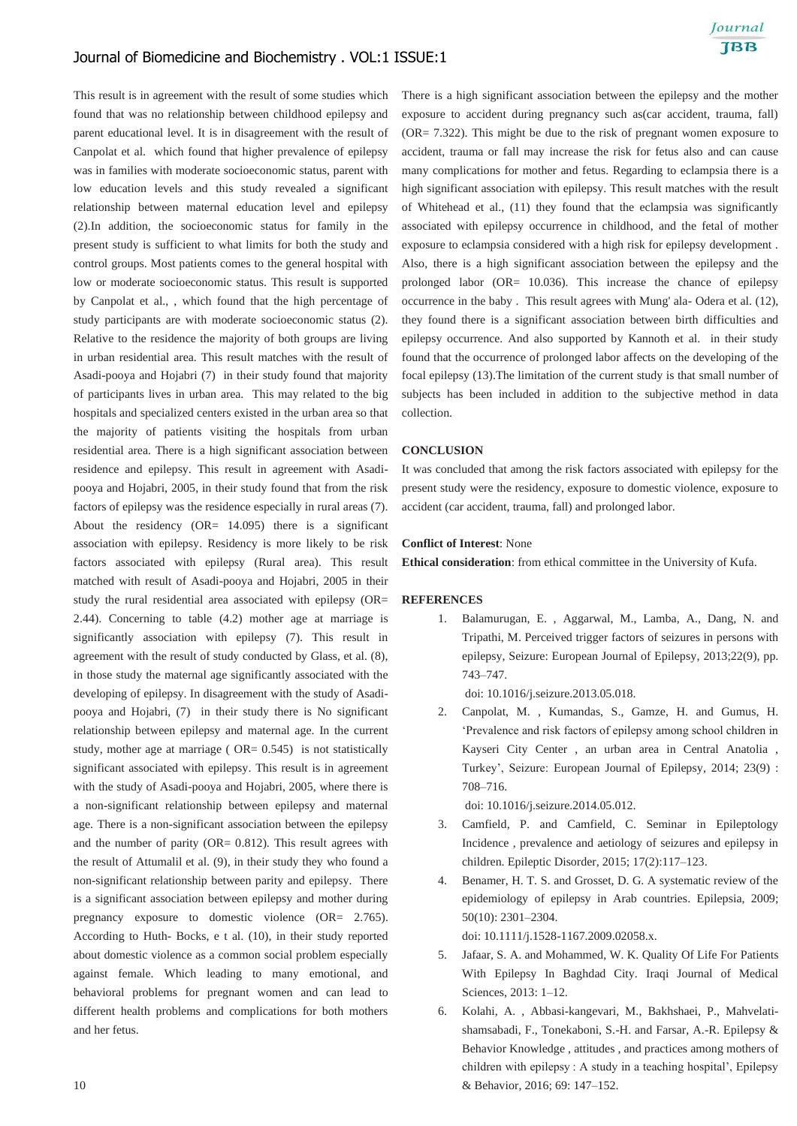This result is in agreement with the result of some studies which found that was no relationship between childhood epilepsy and parent educational level. It is in disagreement with the result of Canpolat et al. which found that higher prevalence of epilepsy was in families with moderate socioeconomic status, parent with low education levels and this study revealed a significant relationship between maternal education level and epilepsy (2).In addition, the socioeconomic status for family in the present study is sufficient to what limits for both the study and control groups. Most patients comes to the general hospital with low or moderate socioeconomic status. This result is supported by Canpolat et al., , which found that the high percentage of study participants are with moderate socioeconomic status (2). Relative to the residence the majority of both groups are living in urban residential area. This result matches with the result of Asadi-pooya and Hojabri (7) in their study found that majority of participants lives in urban area. This may related to the big hospitals and specialized centers existed in the urban area so that the majority of patients visiting the hospitals from urban residential area. There is a high significant association between residence and epilepsy. This result in agreement with Asadipooya and Hojabri, 2005, in their study found that from the risk factors of epilepsy was the residence especially in rural areas (7). About the residency  $(OR = 14.095)$  there is a significant association with epilepsy. Residency is more likely to be risk factors associated with epilepsy (Rural area). This result matched with result of Asadi-pooya and Hojabri, 2005 in their study the rural residential area associated with epilepsy (OR= 2.44). Concerning to table (4.2) mother age at marriage is significantly association with epilepsy (7). This result in agreement with the result of study conducted by Glass, et al. (8), in those study the maternal age significantly associated with the developing of epilepsy. In disagreement with the study of Asadipooya and Hojabri, (7) in their study there is No significant relationship between epilepsy and maternal age. In the current study, mother age at marriage ( $OR = 0.545$ ) is not statistically significant associated with epilepsy. This result is in agreement with the study of Asadi-pooya and Hojabri, 2005, where there is a non-significant relationship between epilepsy and maternal age. There is a non-significant association between the epilepsy and the number of parity ( $OR = 0.812$ ). This result agrees with the result of Attumalil et al. (9), in their study they who found a non-significant relationship between parity and epilepsy. There is a significant association between epilepsy and mother during pregnancy exposure to domestic violence (OR= 2.765). According to Huth- Bocks, e t al. (10), in their study reported about domestic violence as a common social problem especially against female. Which leading to many emotional, and behavioral problems for pregnant women and can lead to different health problems and complications for both mothers and her fetus.

There is a high significant association between the epilepsy and the mother exposure to accident during pregnancy such as(car accident, trauma, fall) (OR= 7.322). This might be due to the risk of pregnant women exposure to accident, trauma or fall may increase the risk for fetus also and can cause many complications for mother and fetus. Regarding to eclampsia there is a high significant association with epilepsy. This result matches with the result of Whitehead et al., (11) they found that the eclampsia was significantly associated with epilepsy occurrence in childhood, and the fetal of mother exposure to eclampsia considered with a high risk for epilepsy development . Also, there is a high significant association between the epilepsy and the prolonged labor (OR= 10.036). This increase the chance of epilepsy occurrence in the baby . This result agrees with Mung' ala- Odera et al. (12), they found there is a significant association between birth difficulties and epilepsy occurrence. And also supported by Kannoth et al. in their study found that the occurrence of prolonged labor affects on the developing of the focal epilepsy (13).The limitation of the current study is that small number of subjects has been included in addition to the subjective method in data collection.

### **CONCLUSION**

It was concluded that among the risk factors associated with epilepsy for the present study were the residency, exposure to domestic violence, exposure to accident (car accident, trauma, fall) and prolonged labor.

### **Conflict of Interest**: None

**Ethical consideration**: from ethical committee in the University of Kufa.

### **REFERENCES**

1. Balamurugan, E. , Aggarwal, M., Lamba, A., Dang, N. and Tripathi, M. Perceived trigger factors of seizures in persons with epilepsy, Seizure: European Journal of Epilepsy, 2013;22(9), pp. 743–747.

doi: 10.1016/j.seizure.2013.05.018.

2. Canpolat, M. , Kumandas, S., Gamze, H. and Gumus, H. 'Prevalence and risk factors of epilepsy among school children in Kayseri City Center , an urban area in Central Anatolia , Turkey', Seizure: European Journal of Epilepsy, 2014; 23(9) : 708–716.

doi: 10.1016/j.seizure.2014.05.012.

- 3. Camfield, P. and Camfield, C. Seminar in Epileptology Incidence , prevalence and aetiology of seizures and epilepsy in children. Epileptic Disorder, 2015; 17(2):117–123.
- 4. Benamer, H. T. S. and Grosset, D. G. A systematic review of the epidemiology of epilepsy in Arab countries. Epilepsia, 2009; 50(10): 2301–2304.

doi: 10.1111/j.1528-1167.2009.02058.x.

- 5. Jafaar, S. A. and Mohammed, W. K. Quality Of Life For Patients With Epilepsy In Baghdad City. Iraqi Journal of Medical Sciences, 2013: 1–12.
- 6. Kolahi, A. , Abbasi-kangevari, M., Bakhshaei, P., Mahvelatishamsabadi, F., Tonekaboni, S.-H. and Farsar, A.-R. Epilepsy & Behavior Knowledge , attitudes , and practices among mothers of children with epilepsy : A study in a teaching hospital', Epilepsy & Behavior, 2016; 69: 147–152.